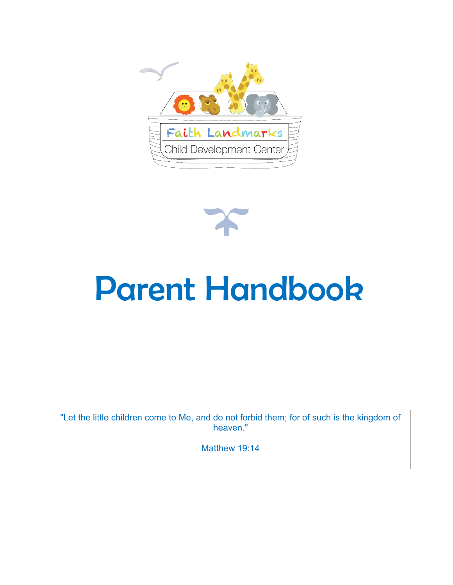



# Parent Handbook

"Let the little children come to Me, and do not forbid them; for of such is the kingdom of heaven."

Matthew 19:14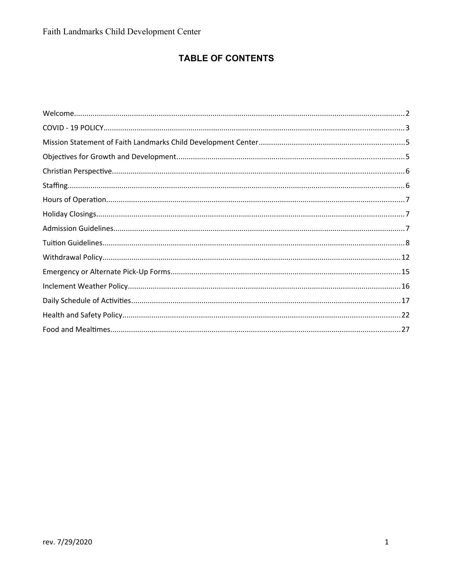# TABLE OF CONTENTS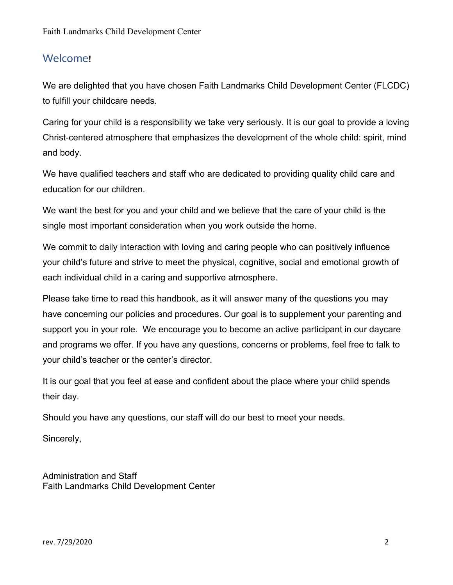# Welcome**!**

We are delighted that you have chosen Faith Landmarks Child Development Center (FLCDC) to fulfill your childcare needs.

Caring for your child is a responsibility we take very seriously. It is our goal to provide a loving Christ-centered atmosphere that emphasizes the development of the whole child: spirit, mind and body.

We have qualified teachers and staff who are dedicated to providing quality child care and education for our children.

We want the best for you and your child and we believe that the care of your child is the single most important consideration when you work outside the home.

We commit to daily interaction with loving and caring people who can positively influence your child's future and strive to meet the physical, cognitive, social and emotional growth of each individual child in a caring and supportive atmosphere.

Please take time to read this handbook, as it will answer many of the questions you may have concerning our policies and procedures. Our goal is to supplement your parenting and support you in your role. We encourage you to become an active participant in our daycare and programs we offer. If you have any questions, concerns or problems, feel free to talk to your child's teacher or the center's director.

It is our goal that you feel at ease and confident about the place where your child spends their day.

Should you have any questions, our staff will do our best to meet your needs.

Sincerely,

Administration and Staff Faith Landmarks Child Development Center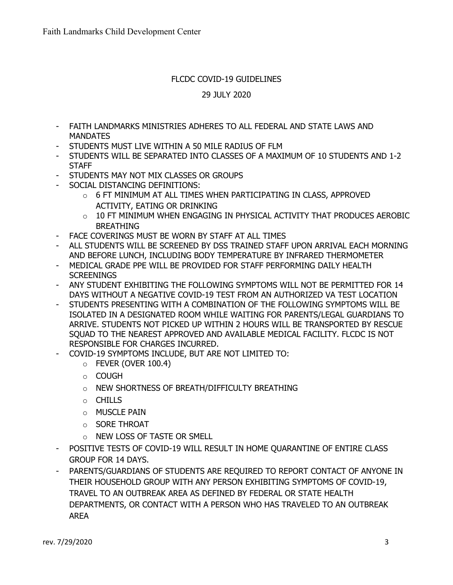#### FLCDC COVID-19 GUIDELINES

#### 29 JULY 2020

- FAITH LANDMARKS MINISTRIES ADHERES TO ALL FEDERAL AND STATE LAWS AND MANDATES
- STUDENTS MUST LIVE WITHIN A 50 MILE RADIUS OF FLM
- STUDENTS WILL BE SEPARATED INTO CLASSES OF A MAXIMUM OF 10 STUDENTS AND 1-2 **STAFF**
- STUDENTS MAY NOT MIX CLASSES OR GROUPS
- SOCIAL DISTANCING DEFINITIONS:
	- $\circ$  6 FT MINIMUM AT ALL TIMES WHEN PARTICIPATING IN CLASS, APPROVED ACTIVITY, EATING OR DRINKING
	- o 10 FT MINIMUM WHEN ENGAGING IN PHYSICAL ACTIVITY THAT PRODUCES AEROBIC **BREATHING**
- FACE COVERINGS MUST BE WORN BY STAFF AT ALL TIMES
- ALL STUDENTS WILL BE SCREENED BY DSS TRAINED STAFF UPON ARRIVAL EACH MORNING AND BEFORE LUNCH, INCLUDING BODY TEMPERATURE BY INFRARED THERMOMETER
- MEDICAL GRADE PPE WILL BE PROVIDED FOR STAFF PERFORMING DAILY HEALTH SCREENINGS
- ANY STUDENT EXHIBITING THE FOLLOWING SYMPTOMS WILL NOT BE PERMITTED FOR 14 DAYS WITHOUT A NEGATIVE COVID-19 TEST FROM AN AUTHORIZED VA TEST LOCATION
- STUDENTS PRESENTING WITH A COMBINATION OF THE FOLLOWING SYMPTOMS WILL BE ISOLATED IN A DESIGNATED ROOM WHILE WAITING FOR PARENTS/LEGAL GUARDIANS TO ARRIVE. STUDENTS NOT PICKED UP WITHIN 2 HOURS WILL BE TRANSPORTED BY RESCUE SQUAD TO THE NEAREST APPROVED AND AVAILABLE MEDICAL FACILITY. FLCDC IS NOT RESPONSIBLE FOR CHARGES INCURRED.
- COVID-19 SYMPTOMS INCLUDE, BUT ARE NOT LIMITED TO:
	- $\circ$  FEVER (OVER 100.4)
	- o COUGH
	- o NEW SHORTNESS OF BREATH/DIFFICULTY BREATHING
	- o CHILLS
	- o MUSCLE PAIN
	- o SORE THROAT
	- o NEW LOSS OF TASTE OR SMELL
- POSITIVE TESTS OF COVID-19 WILL RESULT IN HOME QUARANTINE OF ENTIRE CLASS GROUP FOR 14 DAYS.
- PARENTS/GUARDIANS OF STUDENTS ARE REQUIRED TO REPORT CONTACT OF ANYONE IN THEIR HOUSEHOLD GROUP WITH ANY PERSON EXHIBITING SYMPTOMS OF COVID-19, TRAVEL TO AN OUTBREAK AREA AS DEFINED BY FEDERAL OR STATE HEALTH DEPARTMENTS, OR CONTACT WITH A PERSON WHO HAS TRAVELED TO AN OUTBREAK AREA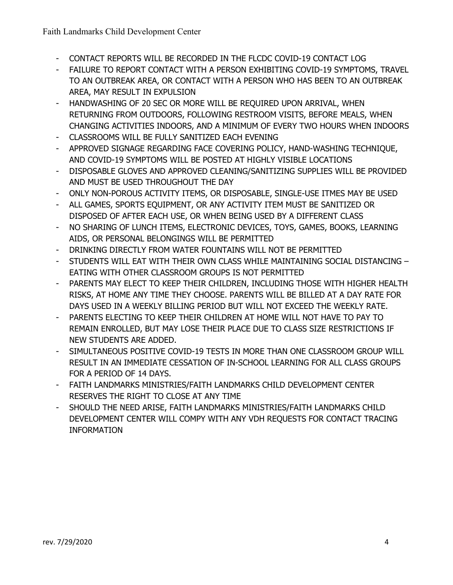- CONTACT REPORTS WILL BE RECORDED IN THE FLCDC COVID-19 CONTACT LOG
- FAILURE TO REPORT CONTACT WITH A PERSON EXHIBITING COVID-19 SYMPTOMS, TRAVEL TO AN OUTBREAK AREA, OR CONTACT WITH A PERSON WHO HAS BEEN TO AN OUTBREAK AREA, MAY RESULT IN EXPULSION
- HANDWASHING OF 20 SEC OR MORE WILL BE REOUIRED UPON ARRIVAL, WHEN RETURNING FROM OUTDOORS, FOLLOWING RESTROOM VISITS, BEFORE MEALS, WHEN CHANGING ACTIVITIES INDOORS, AND A MINIMUM OF EVERY TWO HOURS WHEN INDOORS
- CLASSROOMS WILL BE FULLY SANITIZED EACH EVENING
- APPROVED SIGNAGE REGARDING FACE COVERING POLICY, HAND-WASHING TECHNIQUE, AND COVID-19 SYMPTOMS WILL BE POSTED AT HIGHLY VISIBLE LOCATIONS
- DISPOSABLE GLOVES AND APPROVED CLEANING/SANITIZING SUPPLIES WILL BE PROVIDED AND MUST BE USED THROUGHOUT THE DAY
- ONLY NON-POROUS ACTIVITY ITEMS, OR DISPOSABLE, SINGLE-USE ITMES MAY BE USED
- ALL GAMES, SPORTS EQUIPMENT, OR ANY ACTIVITY ITEM MUST BE SANITIZED OR DISPOSED OF AFTER EACH USE, OR WHEN BEING USED BY A DIFFERENT CLASS
- NO SHARING OF LUNCH ITEMS, ELECTRONIC DEVICES, TOYS, GAMES, BOOKS, LEARNING AIDS, OR PERSONAL BELONGINGS WILL BE PERMITTED
- DRINKING DIRECTLY FROM WATER FOUNTAINS WILL NOT BE PERMITTED
- STUDENTS WILL EAT WITH THEIR OWN CLASS WHILE MAINTAINING SOCIAL DISTANCING EATING WITH OTHER CLASSROOM GROUPS IS NOT PERMITTED
- PARENTS MAY ELECT TO KEEP THEIR CHILDREN, INCLUDING THOSE WITH HIGHER HEALTH RISKS, AT HOME ANY TIME THEY CHOOSE. PARENTS WILL BE BILLED AT A DAY RATE FOR DAYS USED IN A WEEKLY BILLING PERIOD BUT WILL NOT EXCEED THE WEEKLY RATE.
- PARENTS ELECTING TO KEEP THEIR CHILDREN AT HOME WILL NOT HAVE TO PAY TO REMAIN ENROLLED, BUT MAY LOSE THEIR PLACE DUE TO CLASS SIZE RESTRICTIONS IF NEW STUDENTS ARE ADDED.
- SIMULTANEOUS POSITIVE COVID-19 TESTS IN MORE THAN ONE CLASSROOM GROUP WILL RESULT IN AN IMMEDIATE CESSATION OF IN-SCHOOL LEARNING FOR ALL CLASS GROUPS FOR A PERIOD OF 14 DAYS.
- FAITH LANDMARKS MINISTRIES/FAITH LANDMARKS CHILD DEVELOPMENT CENTER RESERVES THE RIGHT TO CLOSE AT ANY TIME
- SHOULD THE NEED ARISE, FAITH LANDMARKS MINISTRIES/FAITH LANDMARKS CHILD DEVELOPMENT CENTER WILL COMPY WITH ANY VDH REQUESTS FOR CONTACT TRACING INFORMATION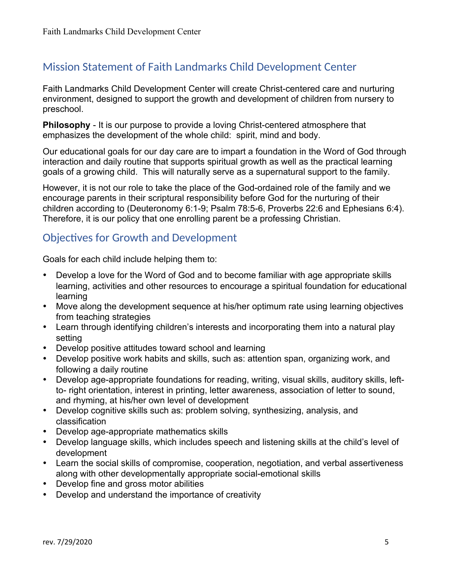# Mission Statement of Faith Landmarks Child Development Center

Faith Landmarks Child Development Center will create Christ-centered care and nurturing environment, designed to support the growth and development of children from nursery to preschool.

**Philosophy** - It is our purpose to provide a loving Christ-centered atmosphere that emphasizes the development of the whole child: spirit, mind and body.

Our educational goals for our day care are to impart a foundation in the Word of God through interaction and daily routine that supports spiritual growth as well as the practical learning goals of a growing child. This will naturally serve as a supernatural support to the family.

However, it is not our role to take the place of the God-ordained role of the family and we encourage parents in their scriptural responsibility before God for the nurturing of their children according to (Deuteronomy 6:1-9; Psalm 78:5-6, Proverbs 22:6 and Ephesians 6:4). Therefore, it is our policy that one enrolling parent be a professing Christian.

# Objectives for Growth and Development

Goals for each child include helping them to:

- Develop a love for the Word of God and to become familiar with age appropriate skills learning, activities and other resources to encourage a spiritual foundation for educational learning
- Move along the development sequence at his/her optimum rate using learning objectives from teaching strategies
- Learn through identifying children's interests and incorporating them into a natural play setting
- Develop positive attitudes toward school and learning
- Develop positive work habits and skills, such as: attention span, organizing work, and following a daily routine
- Develop age-appropriate foundations for reading, writing, visual skills, auditory skills, leftto- right orientation, interest in printing, letter awareness, association of letter to sound, and rhyming, at his/her own level of development
- Develop cognitive skills such as: problem solving, synthesizing, analysis, and classification
- Develop age-appropriate mathematics skills
- Develop language skills, which includes speech and listening skills at the child's level of development
- Learn the social skills of compromise, cooperation, negotiation, and verbal assertiveness along with other developmentally appropriate social-emotional skills
- Develop fine and gross motor abilities
- Develop and understand the importance of creativity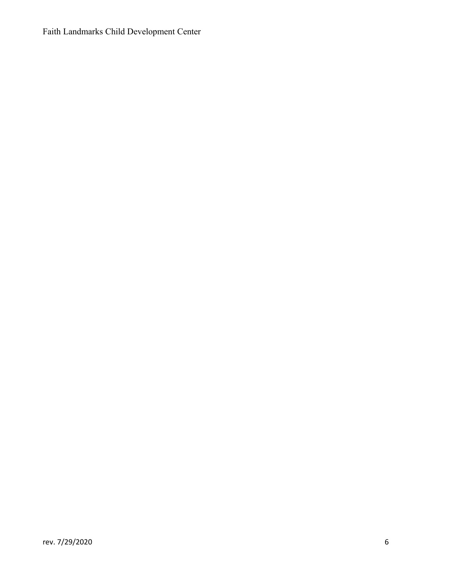Faith Landmarks Child Development Center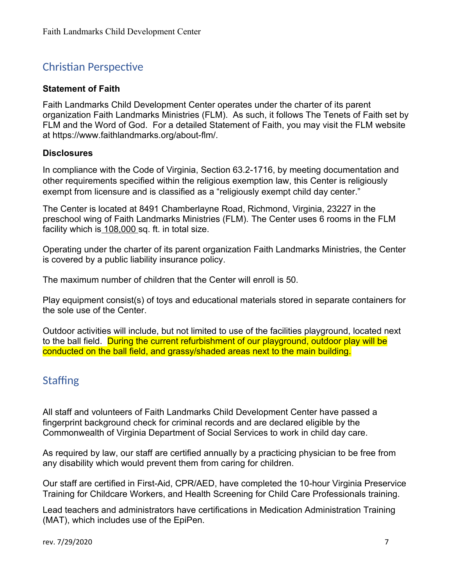# Christian Perspective

#### **Statement of Faith**

Faith Landmarks Child Development Center operates under the charter of its parent organization Faith Landmarks Ministries (FLM). As such, it follows The Tenets of Faith set by FLM and the Word of God. For a detailed Statement of Faith, you may visit the FLM website at https://www.faithlandmarks.org/about-flm/.

#### **Disclosures**

In compliance with the Code of Virginia, Section 63.2-1716, by meeting documentation and other requirements specified within the religious exemption law, this Center is religiously exempt from licensure and is classified as a "religiously exempt child day center."

The Center is located at 8491 Chamberlayne Road, Richmond, Virginia, 23227 in the preschool wing of Faith Landmarks Ministries (FLM). The Center uses 6 rooms in the FLM facility which is 108,000 sq. ft. in total size.

Operating under the charter of its parent organization Faith Landmarks Ministries, the Center is covered by a public liability insurance policy.

The maximum number of children that the Center will enroll is 50.

Play equipment consist(s) of toys and educational materials stored in separate containers for the sole use of the Center.

Outdoor activities will include, but not limited to use of the facilities playground, located next to the ball field. During the current refurbishment of our playground, outdoor play will be conducted on the ball field, and grassy/shaded areas next to the main building.

# **Staffing**

All staff and volunteers of Faith Landmarks Child Development Center have passed a fingerprint background check for criminal records and are declared eligible by the Commonwealth of Virginia Department of Social Services to work in child day care.

As required by law, our staff are certified annually by a practicing physician to be free from any disability which would prevent them from caring for children.

Our staff are certified in First-Aid, CPR/AED, have completed the 10-hour Virginia Preservice Training for Childcare Workers, and Health Screening for Child Care Professionals training.

Lead teachers and administrators have certifications in Medication Administration Training (MAT), which includes use of the EpiPen.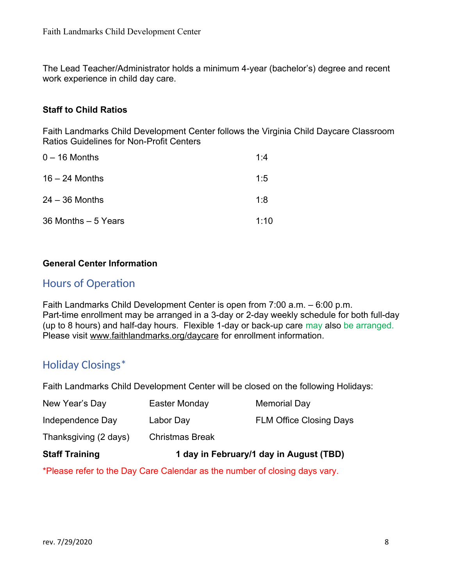The Lead Teacher/Administrator holds a minimum 4-year (bachelor's) degree and recent work experience in child day care.

# **Staff to Child Ratios**

Faith Landmarks Child Development Center follows the Virginia Child Daycare Classroom Ratios Guidelines for Non-Profit Centers

| $0 - 16$ Months     | 1:4  |
|---------------------|------|
| $16 - 24$ Months    | 1:5  |
| $24 - 36$ Months    | 1:8  |
| 36 Months – 5 Years | 1:10 |

# **General Center Information**

# Hours of Operation

Faith Landmarks Child Development Center is open from 7:00 a.m. – 6:00 p.m. Part-time enrollment may be arranged in a 3-day or 2-day weekly schedule for both full-day (up to 8 hours) and half-day hours. Flexible 1-day or back-up care may also be arranged. Please visit [www.faithlandmarks.org/daycare](http://www.faithlandmarks.org/daycare) for enrollment information.

# Holiday Closings\*

Faith Landmarks Child Development Center will be closed on the following Holidays:

| <b>Staff Training</b> | 1 day in February/1 day in August (TBD) |                                |  |
|-----------------------|-----------------------------------------|--------------------------------|--|
| Thanksgiving (2 days) | <b>Christmas Break</b>                  |                                |  |
| Independence Day      | Labor Day                               | <b>FLM Office Closing Days</b> |  |
| New Year's Day        | Easter Monday                           | <b>Memorial Day</b>            |  |

\*Please refer to the Day Care Calendar as the number of closing days vary.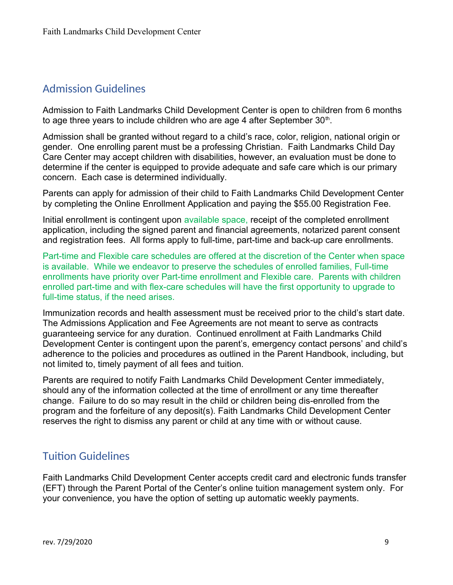# Admission Guidelines

Admission to Faith Landmarks Child Development Center is open to children from 6 months to age three years to include children who are age 4 after September  $30<sup>th</sup>$ .

Admission shall be granted without regard to a child's race, color, religion, national origin or gender. One enrolling parent must be a professing Christian. Faith Landmarks Child Day Care Center may accept children with disabilities, however, an evaluation must be done to determine if the center is equipped to provide adequate and safe care which is our primary concern. Each case is determined individually.

Parents can apply for admission of their child to Faith Landmarks Child Development Center by completing the Online Enrollment Application and paying the \$55.00 Registration Fee.

Initial enrollment is contingent upon available space, receipt of the completed enrollment application, including the signed parent and financial agreements, notarized parent consent and registration fees. All forms apply to full-time, part-time and back-up care enrollments.

Part-time and Flexible care schedules are offered at the discretion of the Center when space is available. While we endeavor to preserve the schedules of enrolled families, Full-time enrollments have priority over Part-time enrollment and Flexible care. Parents with children enrolled part-time and with flex-care schedules will have the first opportunity to upgrade to full-time status, if the need arises.

Immunization records and health assessment must be received prior to the child's start date. The Admissions Application and Fee Agreements are not meant to serve as contracts guaranteeing service for any duration. Continued enrollment at Faith Landmarks Child Development Center is contingent upon the parent's, emergency contact persons' and child's adherence to the policies and procedures as outlined in the Parent Handbook, including, but not limited to, timely payment of all fees and tuition.

Parents are required to notify Faith Landmarks Child Development Center immediately, should any of the information collected at the time of enrollment or any time thereafter change. Failure to do so may result in the child or children being dis-enrolled from the program and the forfeiture of any deposit(s). Faith Landmarks Child Development Center reserves the right to dismiss any parent or child at any time with or without cause.

# Tuition Guidelines

Faith Landmarks Child Development Center accepts credit card and electronic funds transfer (EFT) through the Parent Portal of the Center's online tuition management system only. For your convenience, you have the option of setting up automatic weekly payments.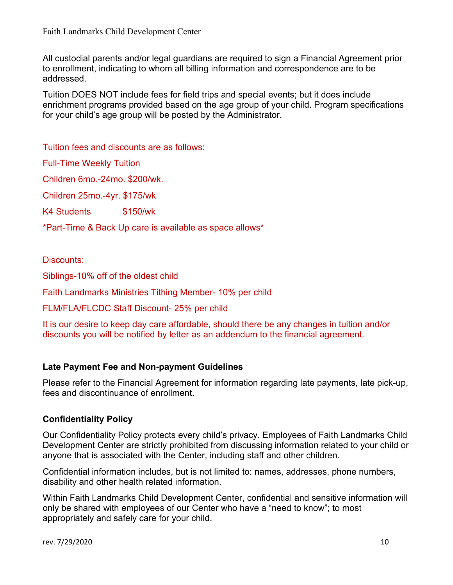All custodial parents and/or legal guardians are required to sign a Financial Agreement prior to enrollment, indicating to whom all billing information and correspondence are to be addressed.

Tuition DOES NOT include fees for field trips and special events; but it does include enrichment programs provided based on the age group of your child. Program specifications for your child's age group will be posted by the Administrator.

Tuition fees and discounts are as follows:

Full-Time Weekly Tuition

Children 6mo.-24mo. \$200/wk.

Children 25mo.-4yr. \$175/wk

K4 Students \$150/wk

\*Part-Time & Back Up care is available as space allows\*

Discounts:

Siblings-10% off of the oldest child

Faith Landmarks Ministries Tithing Member- 10% per child

FLM/FLA/FLCDC Staff Discount- 25% per child

It is our desire to keep day care affordable, should there be any changes in tuition and/or discounts you will be notified by letter as an addendum to the financial agreement.

# **Late Payment Fee and Non-payment Guidelines**

Please refer to the Financial Agreement for information regarding late payments, late pick-up, fees and discontinuance of enrollment.

# **Confidentiality Policy**

Our Confidentiality Policy protects every child's privacy. Employees of Faith Landmarks Child Development Center are strictly prohibited from discussing information related to your child or anyone that is associated with the Center, including staff and other children.

Confidential information includes, but is not limited to: names, addresses, phone numbers, disability and other health related information.

Within Faith Landmarks Child Development Center, confidential and sensitive information will only be shared with employees of our Center who have a "need to know"; to most appropriately and safely care for your child.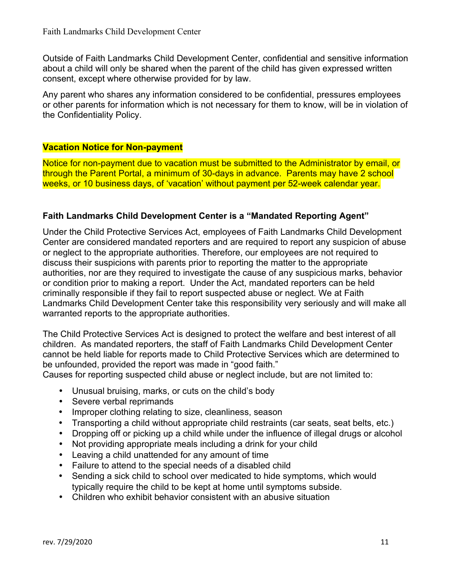Outside of Faith Landmarks Child Development Center, confidential and sensitive information about a child will only be shared when the parent of the child has given expressed written consent, except where otherwise provided for by law.

Any parent who shares any information considered to be confidential, pressures employees or other parents for information which is not necessary for them to know, will be in violation of the Confidentiality Policy.

#### **Vacation Notice for Non-payment**

Notice for non-payment due to vacation must be submitted to the Administrator by email, or through the Parent Portal, a minimum of 30-days in advance. Parents may have 2 school weeks, or 10 business days, of 'vacation' without payment per 52-week calendar year.

# **Faith Landmarks Child Development Center is a "Mandated Reporting Agent"**

Under the Child Protective Services Act, employees of Faith Landmarks Child Development Center are considered mandated reporters and are required to report any suspicion of abuse or neglect to the appropriate authorities. Therefore, our employees are not required to discuss their suspicions with parents prior to reporting the matter to the appropriate authorities, nor are they required to investigate the cause of any suspicious marks, behavior or condition prior to making a report. Under the Act, mandated reporters can be held criminally responsible if they fail to report suspected abuse or neglect. We at Faith Landmarks Child Development Center take this responsibility very seriously and will make all warranted reports to the appropriate authorities.

The Child Protective Services Act is designed to protect the welfare and best interest of all children. As mandated reporters, the staff of Faith Landmarks Child Development Center cannot be held liable for reports made to Child Protective Services which are determined to be unfounded, provided the report was made in "good faith."

Causes for reporting suspected child abuse or neglect include, but are not limited to:

- Unusual bruising, marks, or cuts on the child's body
- Severe verbal reprimands
- Improper clothing relating to size, cleanliness, season
- Transporting a child without appropriate child restraints (car seats, seat belts, etc.)
- Dropping off or picking up a child while under the influence of illegal drugs or alcohol
- Not providing appropriate meals including a drink for your child
- Leaving a child unattended for any amount of time
- Failure to attend to the special needs of a disabled child
- Sending a sick child to school over medicated to hide symptoms, which would typically require the child to be kept at home until symptoms subside.
- Children who exhibit behavior consistent with an abusive situation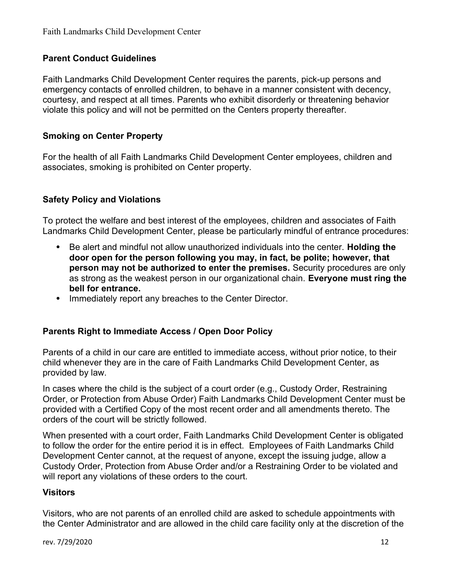# **Parent Conduct Guidelines**

Faith Landmarks Child Development Center requires the parents, pick-up persons and emergency contacts of enrolled children, to behave in a manner consistent with decency, courtesy, and respect at all times. Parents who exhibit disorderly or threatening behavior violate this policy and will not be permitted on the Centers property thereafter.

# **Smoking on Center Property**

For the health of all Faith Landmarks Child Development Center employees, children and associates, smoking is prohibited on Center property.

# **Safety Policy and Violations**

To protect the welfare and best interest of the employees, children and associates of Faith Landmarks Child Development Center, please be particularly mindful of entrance procedures:

- Be alert and mindful not allow unauthorized individuals into the center. **Holding the door open for the person following you may, in fact, be polite; however, that person may not be authorized to enter the premises.** Security procedures are only as strong as the weakest person in our organizational chain. **Everyone must ring the bell for entrance.**
- Immediately report any breaches to the Center Director.

# **Parents Right to Immediate Access / Open Door Policy**

Parents of a child in our care are entitled to immediate access, without prior notice, to their child whenever they are in the care of Faith Landmarks Child Development Center, as provided by law.

In cases where the child is the subject of a court order (e.g., Custody Order, Restraining Order, or Protection from Abuse Order) Faith Landmarks Child Development Center must be provided with a Certified Copy of the most recent order and all amendments thereto. The orders of the court will be strictly followed.

When presented with a court order, Faith Landmarks Child Development Center is obligated to follow the order for the entire period it is in effect. Employees of Faith Landmarks Child Development Center cannot, at the request of anyone, except the issuing judge, allow a Custody Order, Protection from Abuse Order and/or a Restraining Order to be violated and will report any violations of these orders to the court.

# **Visitors**

Visitors, who are not parents of an enrolled child are asked to schedule appointments with the Center Administrator and are allowed in the child care facility only at the discretion of the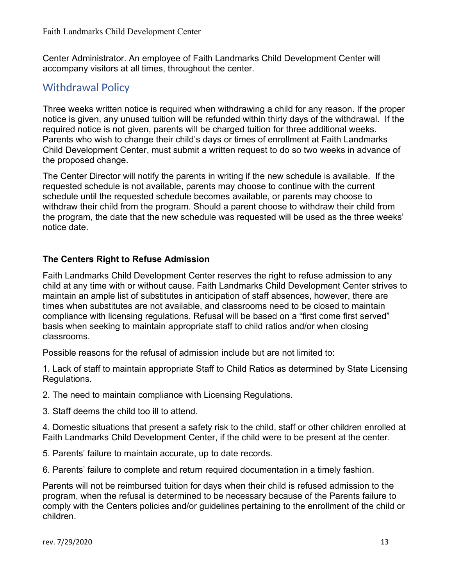Center Administrator. An employee of Faith Landmarks Child Development Center will accompany visitors at all times, throughout the center.

# Withdrawal Policy

Three weeks written notice is required when withdrawing a child for any reason. If the proper notice is given, any unused tuition will be refunded within thirty days of the withdrawal. If the required notice is not given, parents will be charged tuition for three additional weeks. Parents who wish to change their child's days or times of enrollment at Faith Landmarks Child Development Center, must submit a written request to do so two weeks in advance of the proposed change.

The Center Director will notify the parents in writing if the new schedule is available. If the requested schedule is not available, parents may choose to continue with the current schedule until the requested schedule becomes available, or parents may choose to withdraw their child from the program. Should a parent choose to withdraw their child from the program, the date that the new schedule was requested will be used as the three weeks' notice date.

# **The Centers Right to Refuse Admission**

Faith Landmarks Child Development Center reserves the right to refuse admission to any child at any time with or without cause. Faith Landmarks Child Development Center strives to maintain an ample list of substitutes in anticipation of staff absences, however, there are times when substitutes are not available, and classrooms need to be closed to maintain compliance with licensing regulations. Refusal will be based on a "first come first served" basis when seeking to maintain appropriate staff to child ratios and/or when closing classrooms.

Possible reasons for the refusal of admission include but are not limited to:

1. Lack of staff to maintain appropriate Staff to Child Ratios as determined by State Licensing Regulations.

2. The need to maintain compliance with Licensing Regulations.

3. Staff deems the child too ill to attend.

4. Domestic situations that present a safety risk to the child, staff or other children enrolled at Faith Landmarks Child Development Center, if the child were to be present at the center.

5. Parents' failure to maintain accurate, up to date records.

6. Parents' failure to complete and return required documentation in a timely fashion.

Parents will not be reimbursed tuition for days when their child is refused admission to the program, when the refusal is determined to be necessary because of the Parents failure to comply with the Centers policies and/or guidelines pertaining to the enrollment of the child or children.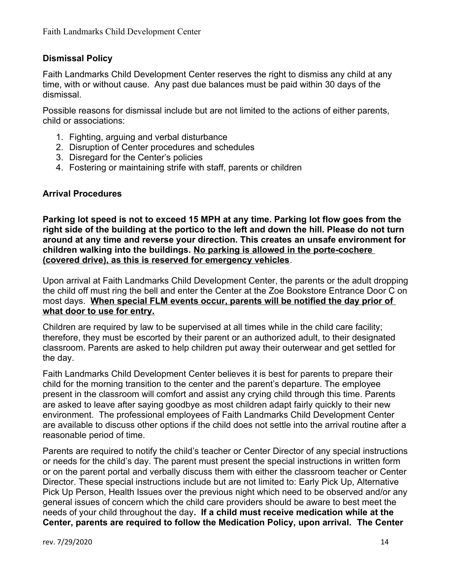# **Dismissal Policy**

Faith Landmarks Child Development Center reserves the right to dismiss any child at any time, with or without cause. Any past due balances must be paid within 30 days of the dismissal.

Possible reasons for dismissal include but are not limited to the actions of either parents, child or associations:

- 1. Fighting, arguing and verbal disturbance
- 2. Disruption of Center procedures and schedules
- 3. Disregard for the Center's policies
- 4. Fostering or maintaining strife with staff, parents or children

# **Arrival Procedures**

**Parking lot speed is not to exceed 15 MPH at any time. Parking lot flow goes from the right side of the building at the portico to the left and down the hill. Please do not turn around at any time and reverse your direction. This creates an unsafe environment for children walking into the buildings. No parking is allowed in the porte-cochere (covered drive), as this is reserved for emergency vehicles**.

Upon arrival at Faith Landmarks Child Development Center, the parents or the adult dropping the child off must ring the bell and enter the Center at the Zoe Bookstore Entrance Door C on most days. **When special FLM events occur, parents will be notified the day prior of what door to use for entry.**

Children are required by law to be supervised at all times while in the child care facility; therefore, they must be escorted by their parent or an authorized adult, to their designated classroom. Parents are asked to help children put away their outerwear and get settled for the day.

Faith Landmarks Child Development Center believes it is best for parents to prepare their child for the morning transition to the center and the parent's departure. The employee present in the classroom will comfort and assist any crying child through this time. Parents are asked to leave after saying goodbye as most children adapt fairly quickly to their new environment. The professional employees of Faith Landmarks Child Development Center are available to discuss other options if the child does not settle into the arrival routine after a reasonable period of time.

Parents are required to notify the child's teacher or Center Director of any special instructions or needs for the child's day. The parent must present the special instructions in written form or on the parent portal and verbally discuss them with either the classroom teacher or Center Director. These special instructions include but are not limited to: Early Pick Up, Alternative Pick Up Person, Health Issues over the previous night which need to be observed and/or any general issues of concern which the child care providers should be aware to best meet the needs of your child throughout the day**. If a child must receive medication while at the Center, parents are required to follow the Medication Policy, upon arrival. The Center**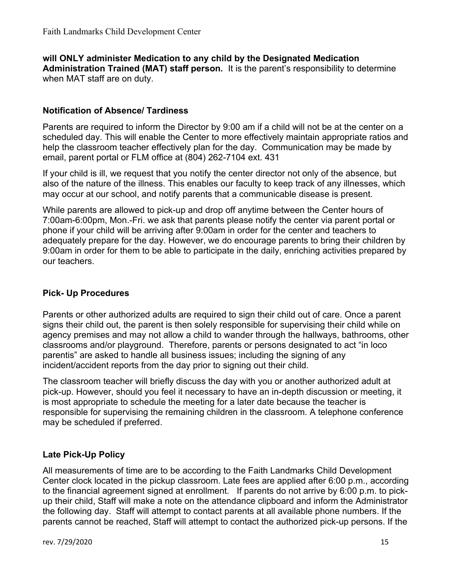#### **will ONLY administer Medication to any child by the Designated Medication Administration Trained (MAT) staff person.** It is the parent's responsibility to determine when MAT staff are on duty.

## **Notification of Absence/ Tardiness**

Parents are required to inform the Director by 9:00 am if a child will not be at the center on a scheduled day. This will enable the Center to more effectively maintain appropriate ratios and help the classroom teacher effectively plan for the day. Communication may be made by email, parent portal or FLM office at (804) 262-7104 ext. 431

If your child is ill, we request that you notify the center director not only of the absence, but also of the nature of the illness. This enables our faculty to keep track of any illnesses, which may occur at our school, and notify parents that a communicable disease is present.

While parents are allowed to pick-up and drop off anytime between the Center hours of 7:00am-6:00pm, Mon.-Fri. we ask that parents please notify the center via parent portal or phone if your child will be arriving after 9:00am in order for the center and teachers to adequately prepare for the day. However, we do encourage parents to bring their children by 9:00am in order for them to be able to participate in the daily, enriching activities prepared by our teachers.

# **Pick- Up Procedures**

Parents or other authorized adults are required to sign their child out of care. Once a parent signs their child out, the parent is then solely responsible for supervising their child while on agency premises and may not allow a child to wander through the hallways, bathrooms, other classrooms and/or playground. Therefore, parents or persons designated to act "in loco parentis" are asked to handle all business issues; including the signing of any incident/accident reports from the day prior to signing out their child.

The classroom teacher will briefly discuss the day with you or another authorized adult at pick-up. However, should you feel it necessary to have an in-depth discussion or meeting, it is most appropriate to schedule the meeting for a later date because the teacher is responsible for supervising the remaining children in the classroom. A telephone conference may be scheduled if preferred.

# **Late Pick-Up Policy**

All measurements of time are to be according to the Faith Landmarks Child Development Center clock located in the pickup classroom. Late fees are applied after 6:00 p.m., according to the financial agreement signed at enrollment. If parents do not arrive by 6:00 p.m. to pickup their child, Staff will make a note on the attendance clipboard and inform the Administrator the following day. Staff will attempt to contact parents at all available phone numbers. If the parents cannot be reached, Staff will attempt to contact the authorized pick-up persons. If the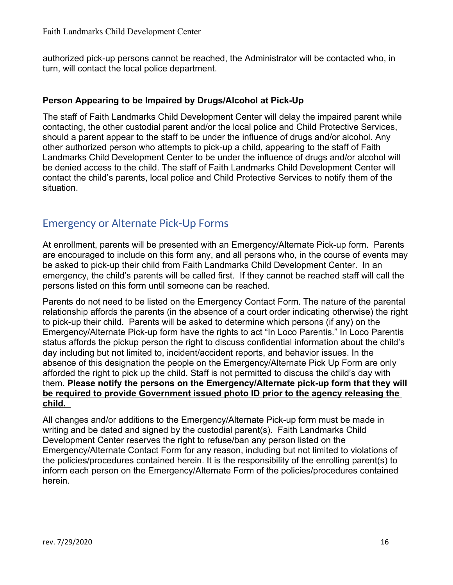authorized pick-up persons cannot be reached, the Administrator will be contacted who, in turn, will contact the local police department.

## **Person Appearing to be Impaired by Drugs/Alcohol at Pick-Up**

The staff of Faith Landmarks Child Development Center will delay the impaired parent while contacting, the other custodial parent and/or the local police and Child Protective Services, should a parent appear to the staff to be under the influence of drugs and/or alcohol. Any other authorized person who attempts to pick-up a child, appearing to the staff of Faith Landmarks Child Development Center to be under the influence of drugs and/or alcohol will be denied access to the child. The staff of Faith Landmarks Child Development Center will contact the child's parents, local police and Child Protective Services to notify them of the situation.

# Emergency or Alternate Pick-Up Forms

At enrollment, parents will be presented with an Emergency/Alternate Pick-up form. Parents are encouraged to include on this form any, and all persons who, in the course of events may be asked to pick-up their child from Faith Landmarks Child Development Center. In an emergency, the child's parents will be called first. If they cannot be reached staff will call the persons listed on this form until someone can be reached.

Parents do not need to be listed on the Emergency Contact Form. The nature of the parental relationship affords the parents (in the absence of a court order indicating otherwise) the right to pick-up their child. Parents will be asked to determine which persons (if any) on the Emergency/Alternate Pick-up form have the rights to act "In Loco Parentis." In Loco Parentis status affords the pickup person the right to discuss confidential information about the child's day including but not limited to, incident/accident reports, and behavior issues. In the absence of this designation the people on the Emergency/Alternate Pick Up Form are only afforded the right to pick up the child. Staff is not permitted to discuss the child's day with them. **Please notify the persons on the Emergency/Alternate pick-up form that they will be required to provide Government issued photo ID prior to the agency releasing the child.** 

All changes and/or additions to the Emergency/Alternate Pick-up form must be made in writing and be dated and signed by the custodial parent(s). Faith Landmarks Child Development Center reserves the right to refuse/ban any person listed on the Emergency/Alternate Contact Form for any reason, including but not limited to violations of the policies/procedures contained herein. It is the responsibility of the enrolling parent(s) to inform each person on the Emergency/Alternate Form of the policies/procedures contained herein.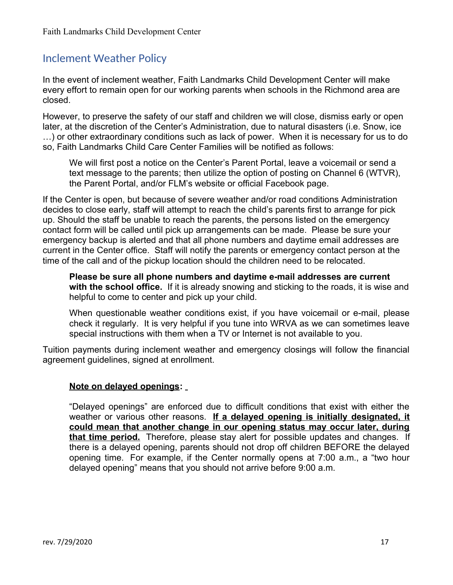# Inclement Weather Policy

In the event of inclement weather, Faith Landmarks Child Development Center will make every effort to remain open for our working parents when schools in the Richmond area are closed.

However, to preserve the safety of our staff and children we will close, dismiss early or open later, at the discretion of the Center's Administration, due to natural disasters (i.e. Snow, ice …) or other extraordinary conditions such as lack of power. When it is necessary for us to do so, Faith Landmarks Child Care Center Families will be notified as follows:

We will first post a notice on the Center's Parent Portal, leave a voicemail or send a text message to the parents; then utilize the option of posting on Channel 6 (WTVR), the Parent Portal, and/or FLM's website or official Facebook page.

If the Center is open, but because of severe weather and/or road conditions Administration decides to close early, staff will attempt to reach the child's parents first to arrange for pick up. Should the staff be unable to reach the parents, the persons listed on the emergency contact form will be called until pick up arrangements can be made. Please be sure your emergency backup is alerted and that all phone numbers and daytime email addresses are current in the Center office. Staff will notify the parents or emergency contact person at the time of the call and of the pickup location should the children need to be relocated.

**Please be sure all phone numbers and daytime e-mail addresses are current with the school office.** If it is already snowing and sticking to the roads, it is wise and helpful to come to center and pick up your child.

When questionable weather conditions exist, if you have voicemail or e-mail, please check it regularly. It is very helpful if you tune into WRVA as we can sometimes leave special instructions with them when a TV or Internet is not available to you.

Tuition payments during inclement weather and emergency closings will follow the financial agreement guidelines, signed at enrollment.

#### **Note on delayed openings:**

"Delayed openings" are enforced due to difficult conditions that exist with either the weather or various other reasons. **If a delayed opening is initially designated, it could mean that another change in our opening status may occur later, during that time period.** Therefore, please stay alert for possible updates and changes. If there is a delayed opening, parents should not drop off children BEFORE the delayed opening time. For example, if the Center normally opens at 7:00 a.m., a "two hour delayed opening" means that you should not arrive before 9:00 a.m.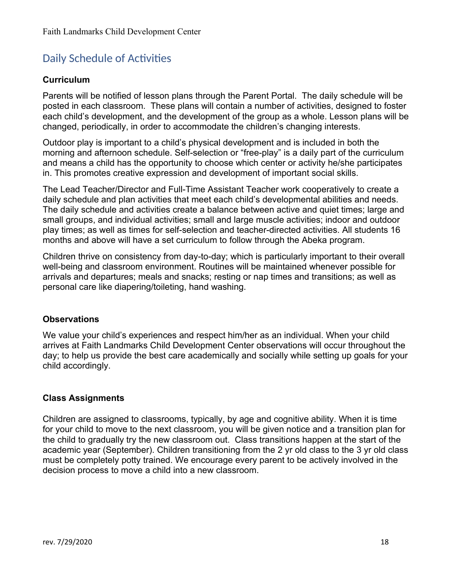# Daily Schedule of Activities

#### **Curriculum**

Parents will be notified of lesson plans through the Parent Portal. The daily schedule will be posted in each classroom. These plans will contain a number of activities, designed to foster each child's development, and the development of the group as a whole. Lesson plans will be changed, periodically, in order to accommodate the children's changing interests.

Outdoor play is important to a child's physical development and is included in both the morning and afternoon schedule. Self-selection or "free-play" is a daily part of the curriculum and means a child has the opportunity to choose which center or activity he/she participates in. This promotes creative expression and development of important social skills.

The Lead Teacher/Director and Full-Time Assistant Teacher work cooperatively to create a daily schedule and plan activities that meet each child's developmental abilities and needs. The daily schedule and activities create a balance between active and quiet times; large and small groups, and individual activities; small and large muscle activities; indoor and outdoor play times; as well as times for self-selection and teacher-directed activities. All students 16 months and above will have a set curriculum to follow through the Abeka program.

Children thrive on consistency from day-to-day; which is particularly important to their overall well-being and classroom environment. Routines will be maintained whenever possible for arrivals and departures; meals and snacks; resting or nap times and transitions; as well as personal care like diapering/toileting, hand washing.

#### **Observations**

We value your child's experiences and respect him/her as an individual. When your child arrives at Faith Landmarks Child Development Center observations will occur throughout the day; to help us provide the best care academically and socially while setting up goals for your child accordingly.

# **Class Assignments**

Children are assigned to classrooms, typically, by age and cognitive ability. When it is time for your child to move to the next classroom, you will be given notice and a transition plan for the child to gradually try the new classroom out. Class transitions happen at the start of the academic year (September). Children transitioning from the 2 yr old class to the 3 yr old class must be completely potty trained. We encourage every parent to be actively involved in the decision process to move a child into a new classroom.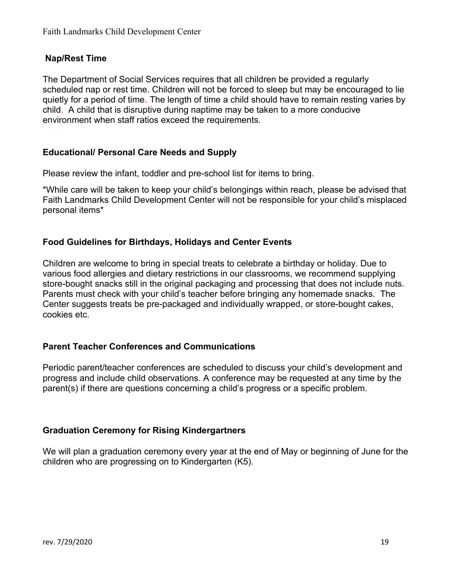# **Nap/Rest Time**

The Department of Social Services requires that all children be provided a regularly scheduled nap or rest time. Children will not be forced to sleep but may be encouraged to lie quietly for a period of time. The length of time a child should have to remain resting varies by child. A child that is disruptive during naptime may be taken to a more conducive environment when staff ratios exceed the requirements.

# **Educational/ Personal Care Needs and Supply**

Please review the infant, toddler and pre-school list for items to bring.

\*While care will be taken to keep your child's belongings within reach, please be advised that Faith Landmarks Child Development Center will not be responsible for your child's misplaced personal items\*

# **Food Guidelines for Birthdays, Holidays and Center Events**

Children are welcome to bring in special treats to celebrate a birthday or holiday. Due to various food allergies and dietary restrictions in our classrooms, we recommend supplying store-bought snacks still in the original packaging and processing that does not include nuts. Parents must check with your child's teacher before bringing any homemade snacks. The Center suggests treats be pre-packaged and individually wrapped, or store-bought cakes, cookies etc.

# **Parent Teacher Conferences and Communications**

Periodic parent/teacher conferences are scheduled to discuss your child's development and progress and include child observations. A conference may be requested at any time by the parent(s) if there are questions concerning a child's progress or a specific problem.

# **Graduation Ceremony for Rising Kindergartners**

We will plan a graduation ceremony every year at the end of May or beginning of June for the children who are progressing on to Kindergarten (K5).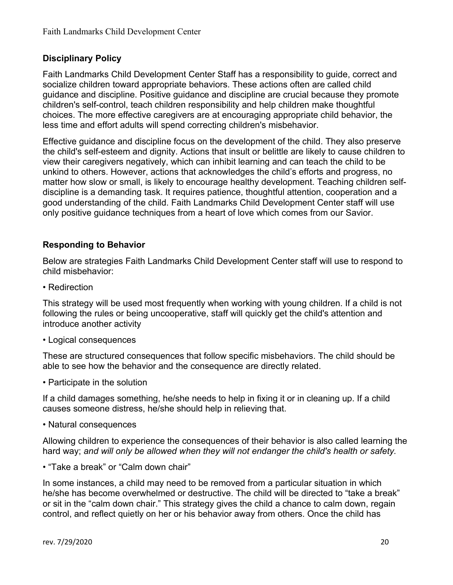#### **Disciplinary Policy**

Faith Landmarks Child Development Center Staff has a responsibility to guide, correct and socialize children toward appropriate behaviors. These actions often are called child guidance and discipline. Positive guidance and discipline are crucial because they promote children's self-control, teach children responsibility and help children make thoughtful choices. The more effective caregivers are at encouraging appropriate child behavior, the less time and effort adults will spend correcting children's misbehavior.

Effective guidance and discipline focus on the development of the child. They also preserve the child's self-esteem and dignity. Actions that insult or belittle are likely to cause children to view their caregivers negatively, which can inhibit learning and can teach the child to be unkind to others. However, actions that acknowledges the child's efforts and progress, no matter how slow or small, is likely to encourage healthy development. Teaching children selfdiscipline is a demanding task. It requires patience, thoughtful attention, cooperation and a good understanding of the child. Faith Landmarks Child Development Center staff will use only positive guidance techniques from a heart of love which comes from our Savior.

#### **Responding to Behavior**

Below are strategies Faith Landmarks Child Development Center staff will use to respond to child misbehavior:

• Redirection

This strategy will be used most frequently when working with young children. If a child is not following the rules or being uncooperative, staff will quickly get the child's attention and introduce another activity

• Logical consequences

These are structured consequences that follow specific misbehaviors. The child should be able to see how the behavior and the consequence are directly related.

• Participate in the solution

If a child damages something, he/she needs to help in fixing it or in cleaning up. If a child causes someone distress, he/she should help in relieving that.

• Natural consequences

Allowing children to experience the consequences of their behavior is also called learning the hard way; *and will only be allowed when they will not endanger the child's health or safety.* 

• "Take a break" or "Calm down chair"

In some instances, a child may need to be removed from a particular situation in which he/she has become overwhelmed or destructive. The child will be directed to "take a break" or sit in the "calm down chair." This strategy gives the child a chance to calm down, regain control, and reflect quietly on her or his behavior away from others. Once the child has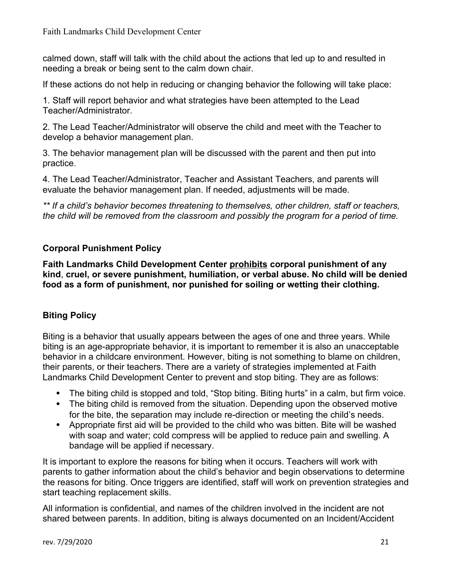calmed down, staff will talk with the child about the actions that led up to and resulted in needing a break or being sent to the calm down chair.

If these actions do not help in reducing or changing behavior the following will take place:

1. Staff will report behavior and what strategies have been attempted to the Lead Teacher/Administrator.

2. The Lead Teacher/Administrator will observe the child and meet with the Teacher to develop a behavior management plan.

3. The behavior management plan will be discussed with the parent and then put into practice.

4. The Lead Teacher/Administrator, Teacher and Assistant Teachers, and parents will evaluate the behavior management plan. If needed, adjustments will be made.

*\*\* If a child's behavior becomes threatening to themselves, other children, staff or teachers, the child will be removed from the classroom and possibly the program for a period of time.* 

# **Corporal Punishment Policy**

**Faith Landmarks Child Development Center prohibits corporal punishment of any kind**, **cruel, or severe punishment, humiliation, or verbal abuse. No child will be denied food as a form of punishment, nor punished for soiling or wetting their clothing.**

# **Biting Policy**

Biting is a behavior that usually appears between the ages of one and three years. While biting is an age-appropriate behavior, it is important to remember it is also an unacceptable behavior in a childcare environment. However, biting is not something to blame on children, their parents, or their teachers. There are a variety of strategies implemented at Faith Landmarks Child Development Center to prevent and stop biting. They are as follows:

- The biting child is stopped and told, "Stop biting. Biting hurts" in a calm, but firm voice.
- The biting child is removed from the situation. Depending upon the observed motive for the bite, the separation may include re-direction or meeting the child's needs.
- Appropriate first aid will be provided to the child who was bitten. Bite will be washed with soap and water; cold compress will be applied to reduce pain and swelling. A bandage will be applied if necessary.

It is important to explore the reasons for biting when it occurs. Teachers will work with parents to gather information about the child's behavior and begin observations to determine the reasons for biting. Once triggers are identified, staff will work on prevention strategies and start teaching replacement skills.

All information is confidential, and names of the children involved in the incident are not shared between parents. In addition, biting is always documented on an Incident/Accident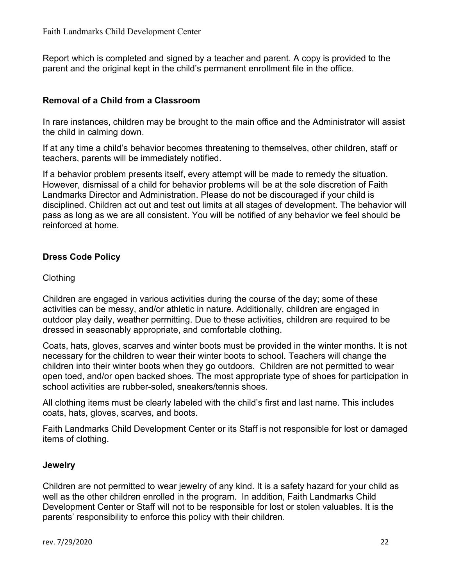Report which is completed and signed by a teacher and parent. A copy is provided to the parent and the original kept in the child's permanent enrollment file in the office.

# **Removal of a Child from a Classroom**

In rare instances, children may be brought to the main office and the Administrator will assist the child in calming down.

If at any time a child's behavior becomes threatening to themselves, other children, staff or teachers, parents will be immediately notified.

If a behavior problem presents itself, every attempt will be made to remedy the situation. However, dismissal of a child for behavior problems will be at the sole discretion of Faith Landmarks Director and Administration. Please do not be discouraged if your child is disciplined. Children act out and test out limits at all stages of development. The behavior will pass as long as we are all consistent. You will be notified of any behavior we feel should be reinforced at home.

# **Dress Code Policy**

#### Clothing

Children are engaged in various activities during the course of the day; some of these activities can be messy, and/or athletic in nature. Additionally, children are engaged in outdoor play daily, weather permitting. Due to these activities, children are required to be dressed in seasonably appropriate, and comfortable clothing.

Coats, hats, gloves, scarves and winter boots must be provided in the winter months. It is not necessary for the children to wear their winter boots to school. Teachers will change the children into their winter boots when they go outdoors. Children are not permitted to wear open toed, and/or open backed shoes. The most appropriate type of shoes for participation in school activities are rubber-soled, sneakers/tennis shoes.

All clothing items must be clearly labeled with the child's first and last name. This includes coats, hats, gloves, scarves, and boots.

Faith Landmarks Child Development Center or its Staff is not responsible for lost or damaged items of clothing.

# **Jewelry**

Children are not permitted to wear jewelry of any kind. It is a safety hazard for your child as well as the other children enrolled in the program. In addition, Faith Landmarks Child Development Center or Staff will not to be responsible for lost or stolen valuables. It is the parents' responsibility to enforce this policy with their children.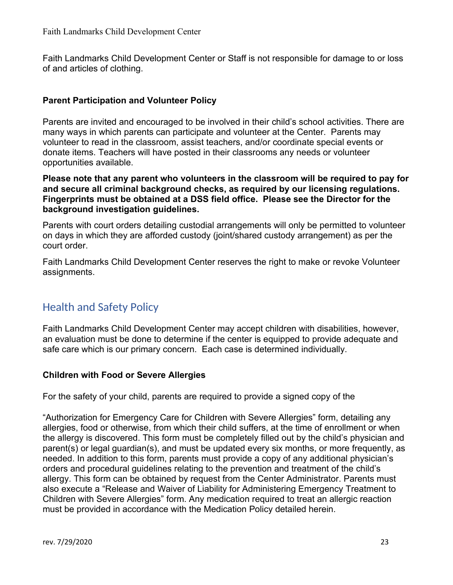Faith Landmarks Child Development Center or Staff is not responsible for damage to or loss of and articles of clothing.

# **Parent Participation and Volunteer Policy**

Parents are invited and encouraged to be involved in their child's school activities. There are many ways in which parents can participate and volunteer at the Center. Parents may volunteer to read in the classroom, assist teachers, and/or coordinate special events or donate items. Teachers will have posted in their classrooms any needs or volunteer opportunities available.

**Please note that any parent who volunteers in the classroom will be required to pay for and secure all criminal background checks, as required by our licensing regulations. Fingerprints must be obtained at a DSS field office. Please see the Director for the background investigation guidelines.**

Parents with court orders detailing custodial arrangements will only be permitted to volunteer on days in which they are afforded custody (joint/shared custody arrangement) as per the court order.

Faith Landmarks Child Development Center reserves the right to make or revoke Volunteer assignments.

# Health and Safety Policy

Faith Landmarks Child Development Center may accept children with disabilities, however, an evaluation must be done to determine if the center is equipped to provide adequate and safe care which is our primary concern. Each case is determined individually.

#### **Children with Food or Severe Allergies**

For the safety of your child, parents are required to provide a signed copy of the

"Authorization for Emergency Care for Children with Severe Allergies" form, detailing any allergies, food or otherwise, from which their child suffers, at the time of enrollment or when the allergy is discovered. This form must be completely filled out by the child's physician and parent(s) or legal guardian(s), and must be updated every six months, or more frequently, as needed. In addition to this form, parents must provide a copy of any additional physician's orders and procedural guidelines relating to the prevention and treatment of the child's allergy. This form can be obtained by request from the Center Administrator. Parents must also execute a "Release and Waiver of Liability for Administering Emergency Treatment to Children with Severe Allergies" form. Any medication required to treat an allergic reaction must be provided in accordance with the Medication Policy detailed herein.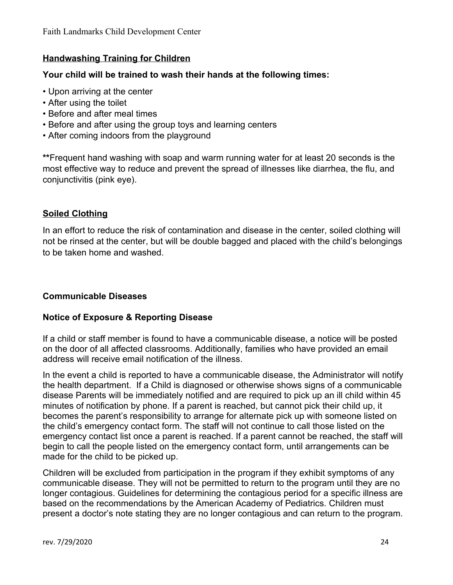# **Handwashing Training for Children**

## **Your child will be trained to wash their hands at the following times:**

- Upon arriving at the center
- After using the toilet
- Before and after meal times
- Before and after using the group toys and learning centers
- After coming indoors from the playground

**\*\***Frequent hand washing with soap and warm running water for at least 20 seconds is the most effective way to reduce and prevent the spread of illnesses like diarrhea, the flu, and conjunctivitis (pink eye).

# **Soiled Clothing**

In an effort to reduce the risk of contamination and disease in the center, soiled clothing will not be rinsed at the center, but will be double bagged and placed with the child's belongings to be taken home and washed.

# **Communicable Diseases**

# **Notice of Exposure & Reporting Disease**

If a child or staff member is found to have a communicable disease, a notice will be posted on the door of all affected classrooms. Additionally, families who have provided an email address will receive email notification of the illness.

In the event a child is reported to have a communicable disease, the Administrator will notify the health department. If a Child is diagnosed or otherwise shows signs of a communicable disease Parents will be immediately notified and are required to pick up an ill child within 45 minutes of notification by phone. If a parent is reached, but cannot pick their child up, it becomes the parent's responsibility to arrange for alternate pick up with someone listed on the child's emergency contact form. The staff will not continue to call those listed on the emergency contact list once a parent is reached. If a parent cannot be reached, the staff will begin to call the people listed on the emergency contact form, until arrangements can be made for the child to be picked up.

Children will be excluded from participation in the program if they exhibit symptoms of any communicable disease. They will not be permitted to return to the program until they are no longer contagious. Guidelines for determining the contagious period for a specific illness are based on the recommendations by the American Academy of Pediatrics. Children must present a doctor's note stating they are no longer contagious and can return to the program.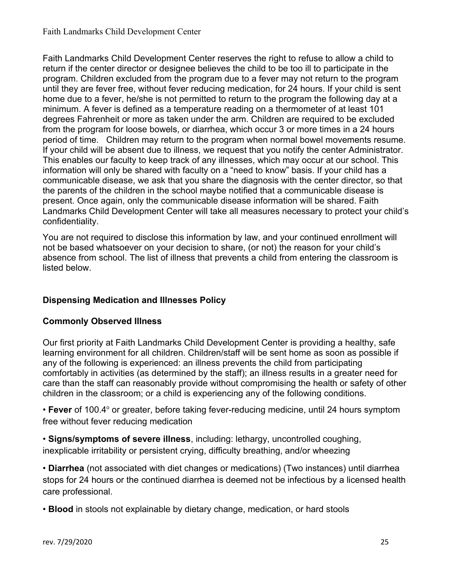Faith Landmarks Child Development Center reserves the right to refuse to allow a child to return if the center director or designee believes the child to be too ill to participate in the program. Children excluded from the program due to a fever may not return to the program until they are fever free, without fever reducing medication, for 24 hours. If your child is sent home due to a fever, he/she is not permitted to return to the program the following day at a minimum. A fever is defined as a temperature reading on a thermometer of at least 101 degrees Fahrenheit or more as taken under the arm. Children are required to be excluded from the program for loose bowels, or diarrhea, which occur 3 or more times in a 24 hours period of time. Children may return to the program when normal bowel movements resume. If your child will be absent due to illness, we request that you notify the center Administrator. This enables our faculty to keep track of any illnesses, which may occur at our school. This information will only be shared with faculty on a "need to know" basis. If your child has a communicable disease, we ask that you share the diagnosis with the center director, so that the parents of the children in the school maybe notified that a communicable disease is present. Once again, only the communicable disease information will be shared. Faith Landmarks Child Development Center will take all measures necessary to protect your child's confidentiality.

You are not required to disclose this information by law, and your continued enrollment will not be based whatsoever on your decision to share, (or not) the reason for your child's absence from school. The list of illness that prevents a child from entering the classroom is listed below.

# **Dispensing Medication and Illnesses Policy**

# **Commonly Observed Illness**

Our first priority at Faith Landmarks Child Development Center is providing a healthy, safe learning environment for all children. Children/staff will be sent home as soon as possible if any of the following is experienced: an illness prevents the child from participating comfortably in activities (as determined by the staff); an illness results in a greater need for care than the staff can reasonably provide without compromising the health or safety of other children in the classroom; or a child is experiencing any of the following conditions.

• Fever of 100.4° or greater, before taking fever-reducing medicine, until 24 hours symptom free without fever reducing medication

• **Signs/symptoms of severe illness**, including: lethargy, uncontrolled coughing, inexplicable irritability or persistent crying, difficulty breathing, and/or wheezing

• **Diarrhea** (not associated with diet changes or medications) (Two instances) until diarrhea stops for 24 hours or the continued diarrhea is deemed not be infectious by a licensed health care professional.

• **Blood** in stools not explainable by dietary change, medication, or hard stools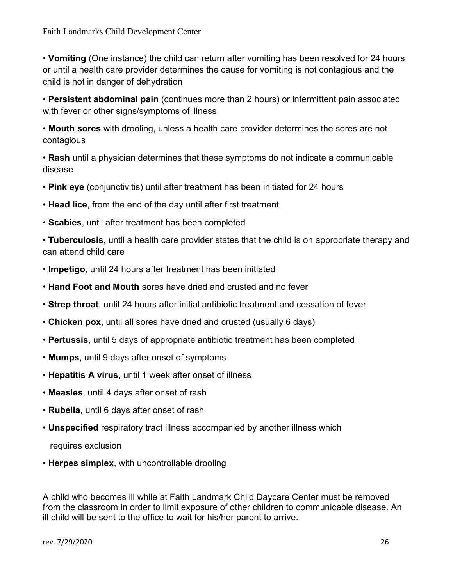• **Vomiting** (One instance) the child can return after vomiting has been resolved for 24 hours or until a health care provider determines the cause for vomiting is not contagious and the child is not in danger of dehydration

• **Persistent abdominal pain** (continues more than 2 hours) or intermittent pain associated with fever or other signs/symptoms of illness

• **Mouth sores** with drooling, unless a health care provider determines the sores are not contagious

• **Rash** until a physician determines that these symptoms do not indicate a communicable disease

- **Pink eye** (conjunctivitis) until after treatment has been initiated for 24 hours
- **Head lice**, from the end of the day until after first treatment
- **Scabies**, until after treatment has been completed

• **Tuberculosis**, until a health care provider states that the child is on appropriate therapy and can attend child care

- **Impetigo**, until 24 hours after treatment has been initiated
- **Hand Foot and Mouth** sores have dried and crusted and no fever
- **Strep throat**, until 24 hours after initial antibiotic treatment and cessation of fever
- **Chicken pox**, until all sores have dried and crusted (usually 6 days)
- **Pertussis**, until 5 days of appropriate antibiotic treatment has been completed
- **Mumps**, until 9 days after onset of symptoms
- **Hepatitis A virus**, until 1 week after onset of illness
- **Measles**, until 4 days after onset of rash
- **Rubella**, until 6 days after onset of rash
- **Unspecified** respiratory tract illness accompanied by another illness which

requires exclusion

• **Herpes simplex**, with uncontrollable drooling

A child who becomes ill while at Faith Landmark Child Daycare Center must be removed from the classroom in order to limit exposure of other children to communicable disease. An ill child will be sent to the office to wait for his/her parent to arrive.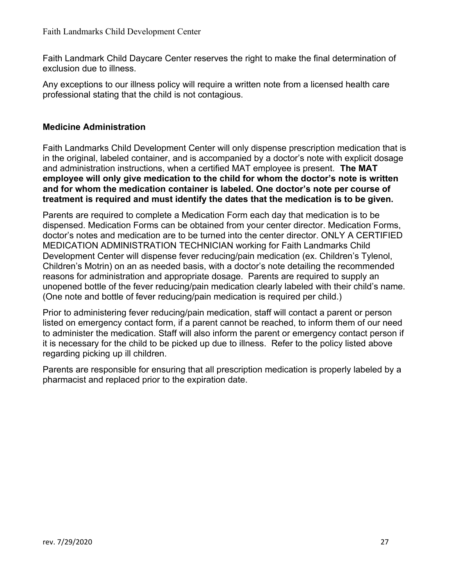Faith Landmark Child Daycare Center reserves the right to make the final determination of exclusion due to illness.

Any exceptions to our illness policy will require a written note from a licensed health care professional stating that the child is not contagious.

#### **Medicine Administration**

Faith Landmarks Child Development Center will only dispense prescription medication that is in the original, labeled container, and is accompanied by a doctor's note with explicit dosage and administration instructions, when a certified MAT employee is present. **The MAT employee will only give medication to the child for whom the doctor's note is written and for whom the medication container is labeled. One doctor's note per course of treatment is required and must identify the dates that the medication is to be given.**

Parents are required to complete a Medication Form each day that medication is to be dispensed. Medication Forms can be obtained from your center director. Medication Forms, doctor's notes and medication are to be turned into the center director. ONLY A CERTIFIED MEDICATION ADMINISTRATION TECHNICIAN working for Faith Landmarks Child Development Center will dispense fever reducing/pain medication (ex. Children's Tylenol, Children's Motrin) on an as needed basis, with a doctor's note detailing the recommended reasons for administration and appropriate dosage. Parents are required to supply an unopened bottle of the fever reducing/pain medication clearly labeled with their child's name. (One note and bottle of fever reducing/pain medication is required per child.)

Prior to administering fever reducing/pain medication, staff will contact a parent or person listed on emergency contact form, if a parent cannot be reached, to inform them of our need to administer the medication. Staff will also inform the parent or emergency contact person if it is necessary for the child to be picked up due to illness. Refer to the policy listed above regarding picking up ill children.

Parents are responsible for ensuring that all prescription medication is properly labeled by a pharmacist and replaced prior to the expiration date.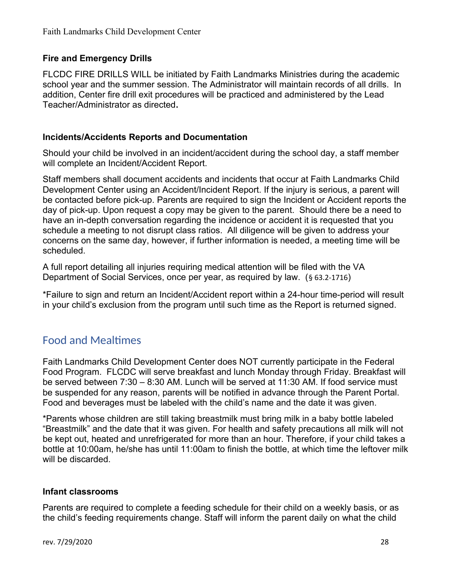#### **Fire and Emergency Drills**

FLCDC FIRE DRILLS WILL be initiated by Faith Landmarks Ministries during the academic school year and the summer session. The Administrator will maintain records of all drills. In addition, Center fire drill exit procedures will be practiced and administered by the Lead Teacher/Administrator as directed**.** 

#### **Incidents/Accidents Reports and Documentation**

Should your child be involved in an incident/accident during the school day, a staff member will complete an Incident/Accident Report.

Staff members shall document accidents and incidents that occur at Faith Landmarks Child Development Center using an Accident/Incident Report. If the injury is serious, a parent will be contacted before pick-up. Parents are required to sign the Incident or Accident reports the day of pick-up. Upon request a copy may be given to the parent. Should there be a need to have an in-depth conversation regarding the incidence or accident it is requested that you schedule a meeting to not disrupt class ratios. All diligence will be given to address your concerns on the same day, however, if further information is needed, a meeting time will be scheduled.

A full report detailing all injuries requiring medical attention will be filed with the VA Department of Social Services, once per year, as required by law. (§ 63.2-1716)

\*Failure to sign and return an Incident/Accident report within a 24-hour time-period will result in your child's exclusion from the program until such time as the Report is returned signed.

# Food and Mealtimes

Faith Landmarks Child Development Center does NOT currently participate in the Federal Food Program. FLCDC will serve breakfast and lunch Monday through Friday. Breakfast will be served between 7:30 – 8:30 AM. Lunch will be served at 11:30 AM. If food service must be suspended for any reason, parents will be notified in advance through the Parent Portal. Food and beverages must be labeled with the child's name and the date it was given.

\*Parents whose children are still taking breastmilk must bring milk in a baby bottle labeled "Breastmilk" and the date that it was given. For health and safety precautions all milk will not be kept out, heated and unrefrigerated for more than an hour. Therefore, if your child takes a bottle at 10:00am, he/she has until 11:00am to finish the bottle, at which time the leftover milk will be discarded.

#### **Infant classrooms**

Parents are required to complete a feeding schedule for their child on a weekly basis, or as the child's feeding requirements change. Staff will inform the parent daily on what the child